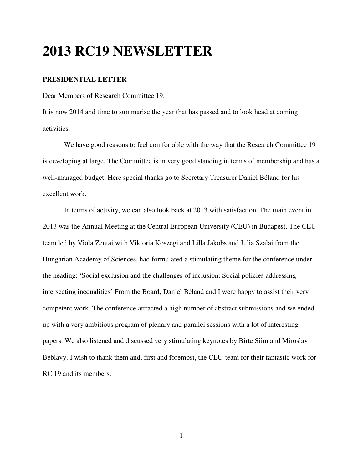## **2013 RC19 NEWSLETTER**

#### **PRESIDENTIAL LETTER**

Dear Members of Research Committee 19:

It is now 2014 and time to summarise the year that has passed and to look head at coming activities.

We have good reasons to feel comfortable with the way that the Research Committee 19 is developing at large. The Committee is in very good standing in terms of membership and has a well-managed budget. Here special thanks go to Secretary Treasurer Daniel Béland for his excellent work.

In terms of activity, we can also look back at 2013 with satisfaction. The main event in 2013 was the Annual Meeting at the Central European University (CEU) in Budapest. The CEUteam led by Viola Zentai with Viktoria Koszegi and Lilla Jakobs and Julia Szalai from the Hungarian Academy of Sciences, had formulated a stimulating theme for the conference under the heading: 'Social exclusion and the challenges of inclusion: Social policies addressing intersecting inequalities' From the Board, Daniel Béland and I were happy to assist their very competent work. The conference attracted a high number of abstract submissions and we ended up with a very ambitious program of plenary and parallel sessions with a lot of interesting papers. We also listened and discussed very stimulating keynotes by Birte Siim and Miroslav Beblavy. I wish to thank them and, first and foremost, the CEU-team for their fantastic work for RC 19 and its members.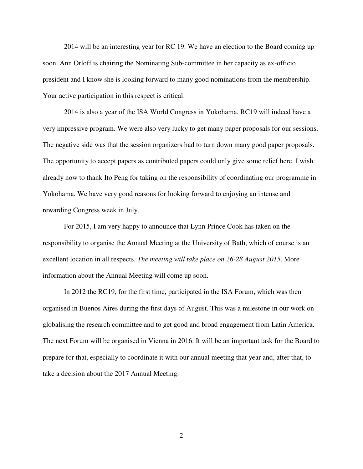2014 will be an interesting year for RC 19. We have an election to the Board coming up soon. Ann Orloff is chairing the Nominating Sub-committee in her capacity as ex-officio president and I know she is looking forward to many good nominations from the membership. Your active participation in this respect is critical.

2014 is also a year of the ISA World Congress in Yokohama. RC19 will indeed have a very impressive program. We were also very lucky to get many paper proposals for our sessions. The negative side was that the session organizers had to turn down many good paper proposals. The opportunity to accept papers as contributed papers could only give some relief here. I wish already now to thank Ito Peng for taking on the responsibility of coordinating our programme in Yokohama. We have very good reasons for looking forward to enjoying an intense and rewarding Congress week in July.

For 2015, I am very happy to announce that Lynn Prince Cook has taken on the responsibility to organise the Annual Meeting at the University of Bath, which of course is an excellent location in all respects. *The meeting will take place on 26-28 August 2015*. More information about the Annual Meeting will come up soon.

In 2012 the RC19, for the first time, participated in the ISA Forum, which was then organised in Buenos Aires during the first days of August. This was a milestone in our work on globalising the research committee and to get good and broad engagement from Latin America. The next Forum will be organised in Vienna in 2016. It will be an important task for the Board to prepare for that, especially to coordinate it with our annual meeting that year and, after that, to take a decision about the 2017 Annual Meeting.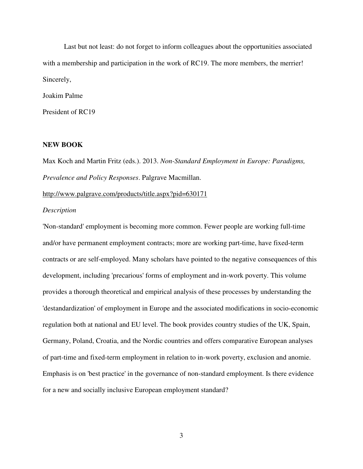Last but not least: do not forget to inform colleagues about the opportunities associated with a membership and participation in the work of RC19. The more members, the merrier! Sincerely,

Joakim Palme

President of RC19

#### **NEW BOOK**

Max Koch and Martin Fritz (eds.). 2013. *Non-Standard Employment in Europe: Paradigms, Prevalence and Policy Responses*. Palgrave Macmillan.

http://www.palgrave.com/products/title.aspx?pid=630171

#### *Description*

'Non-standard' employment is becoming more common. Fewer people are working full-time and/or have permanent employment contracts; more are working part-time, have fixed-term contracts or are self-employed. Many scholars have pointed to the negative consequences of this development, including 'precarious' forms of employment and in-work poverty. This volume provides a thorough theoretical and empirical analysis of these processes by understanding the 'destandardization' of employment in Europe and the associated modifications in socio-economic regulation both at national and EU level. The book provides country studies of the UK, Spain, Germany, Poland, Croatia, and the Nordic countries and offers comparative European analyses of part-time and fixed-term employment in relation to in-work poverty, exclusion and anomie. Emphasis is on 'best practice' in the governance of non-standard employment. Is there evidence for a new and socially inclusive European employment standard?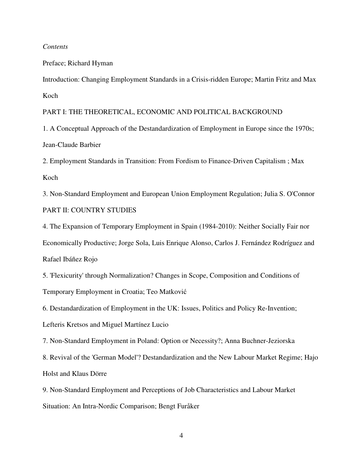#### *Contents*

Preface; Richard Hyman

Introduction: Changing Employment Standards in a Crisis-ridden Europe; Martin Fritz and Max Koch

PART I: THE THEORETICAL, ECONOMIC AND POLITICAL BACKGROUND

1. A Conceptual Approach of the Destandardization of Employment in Europe since the 1970s; Jean-Claude Barbier

2. Employment Standards in Transition: From Fordism to Finance-Driven Capitalism ; Max Koch

3. Non-Standard Employment and European Union Employment Regulation; Julia S. O'Connor PART II: COUNTRY STUDIES

4. The Expansion of Temporary Employment in Spain (1984-2010): Neither Socially Fair nor Economically Productive; Jorge Sola, Luis Enrique Alonso, Carlos J. Fernández Rodríguez and Rafael Ibáñez Rojo

5. 'Flexicurity' through Normalization? Changes in Scope, Composition and Conditions of Temporary Employment in Croatia; Teo Matković

6. Destandardization of Employment in the UK: Issues, Politics and Policy Re-Invention; Lefteris Kretsos and Miguel Martínez Lucio

7. Non-Standard Employment in Poland: Option or Necessity?; Anna Buchner-Jeziorska

8. Revival of the 'German Model'? Destandardization and the New Labour Market Regime; Hajo Holst and Klaus Dörre

9. Non-Standard Employment and Perceptions of Job Characteristics and Labour Market Situation: An Intra-Nordic Comparison; Bengt Furåker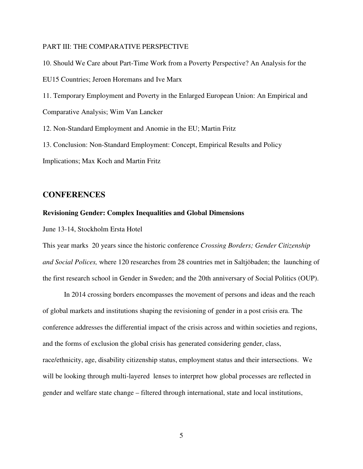#### PART III: THE COMPARATIVE PERSPECTIVE

10. Should We Care about Part-Time Work from a Poverty Perspective? An Analysis for the EU15 Countries; Jeroen Horemans and Ive Marx

11. Temporary Employment and Poverty in the Enlarged European Union: An Empirical and Comparative Analysis; Wim Van Lancker

12. Non-Standard Employment and Anomie in the EU; Martin Fritz

13. Conclusion: Non-Standard Employment: Concept, Empirical Results and Policy

Implications; Max Koch and Martin Fritz

#### **CONFERENCES**

#### **Revisioning Gender: Complex Inequalities and Global Dimensions**

June 13-14, Stockholm Ersta Hotel

This year marks 20 years since the historic conference *Crossing Borders; Gender Citizenship and Social Polices,* where 120 researches from 28 countries met in Saltjöbaden; the launching of the first research school in Gender in Sweden; and the 20th anniversary of Social Politics (OUP).

In 2014 crossing borders encompasses the movement of persons and ideas and the reach of global markets and institutions shaping the revisioning of gender in a post crisis era. The conference addresses the differential impact of the crisis across and within societies and regions, and the forms of exclusion the global crisis has generated considering gender, class, race/ethnicity, age, disability citizenship status, employment status and their intersections. We will be looking through multi-layered lenses to interpret how global processes are reflected in gender and welfare state change – filtered through international, state and local institutions,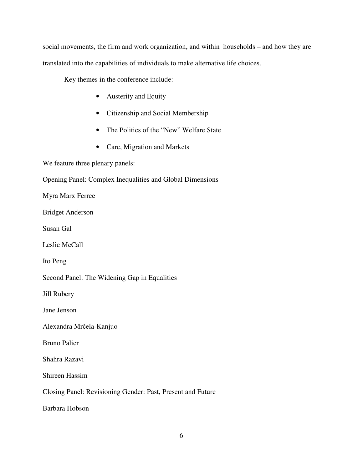social movements, the firm and work organization, and within households – and how they are translated into the capabilities of individuals to make alternative life choices.

Key themes in the conference include:

- Austerity and Equity
- Citizenship and Social Membership
- The Politics of the "New" Welfare State
- Care, Migration and Markets

We feature three plenary panels:

Opening Panel: Complex Inequalities and Global Dimensions

Myra Marx Ferree

Bridget Anderson

Susan Gal

Leslie McCall

Ito Peng

Second Panel: The Widening Gap in Equalities

Jill Rubery

Jane Jenson

Alexandra Mrčela-Kanjuo

Bruno Palier

Shahra Razavi

Shireen Hassim

Closing Panel: Revisioning Gender: Past, Present and Future

Barbara Hobson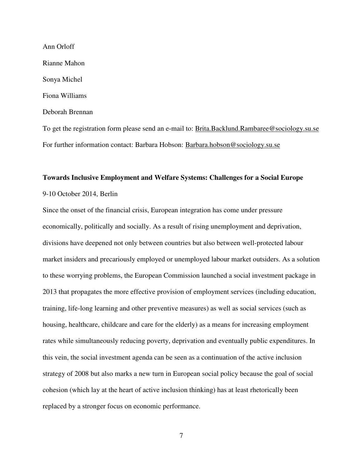Ann Orloff Rianne Mahon Sonya Michel Fiona Williams Deborah Brennan To get the registration form please send an e-mail to: Brita.Backlund.Rambaree@sociology.su.se

For further information contact: Barbara Hobson: Barbara.hobson@sociology.su.se

#### **Towards Inclusive Employment and Welfare Systems: Challenges for a Social Europe**

9-10 October 2014, Berlin

Since the onset of the financial crisis, European integration has come under pressure economically, politically and socially. As a result of rising unemployment and deprivation, divisions have deepened not only between countries but also between well-protected labour market insiders and precariously employed or unemployed labour market outsiders. As a solution to these worrying problems, the European Commission launched a social investment package in 2013 that propagates the more effective provision of employment services (including education, training, life-long learning and other preventive measures) as well as social services (such as housing, healthcare, childcare and care for the elderly) as a means for increasing employment rates while simultaneously reducing poverty, deprivation and eventually public expenditures. In this vein, the social investment agenda can be seen as a continuation of the active inclusion strategy of 2008 but also marks a new turn in European social policy because the goal of social cohesion (which lay at the heart of active inclusion thinking) has at least rhetorically been replaced by a stronger focus on economic performance.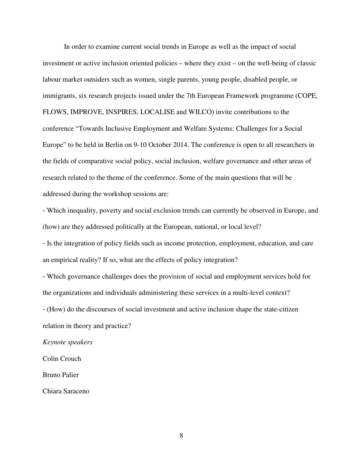In order to examine current social trends in Europe as well as the impact of social investment or active inclusion oriented policies – where they exist – on the well-being of classic labour market outsiders such as women, single parents, young people, disabled people, or immigrants, six research projects issued under the 7th European Framework programme (COPE, FLOWS, IMPROVE, INSPIRES, LOCALISE and WILCO) invite contributions to the conference "Towards Inclusive Employment and Welfare Systems: Challenges for a Social Europe" to be held in Berlin on 9-10 October 2014. The conference is open to all researchers in the fields of comparative social policy, social inclusion, welfare governance and other areas of research related to the theme of the conference. Some of the main questions that will be addressed during the workshop sessions are:

‐ Which inequality, poverty and social exclusion trends can currently be observed in Europe, and (how) are they addressed politically at the European, national, or local level?

‐ Is the integration of policy fields such as income protection, employment, education, and care an empirical reality? If so, what are the effects of policy integration?

‐ Which governance challenges does the provision of social and employment services hold for the organizations and individuals administering these services in a multi-level context?

‐ (How) do the discourses of social investment and active inclusion shape the state-citizen relation in theory and practice?

*Keynote speakers* 

Colin Crouch

Bruno Palier

Chiara Saraceno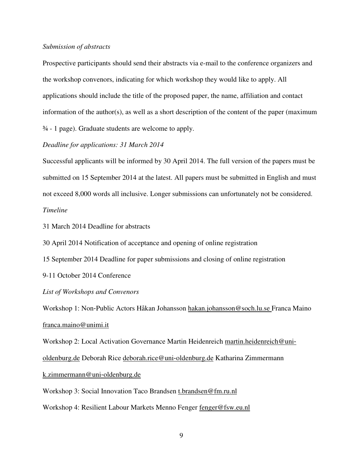#### *Submission of abstracts*

Prospective participants should send their abstracts via e-mail to the conference organizers and the workshop convenors, indicating for which workshop they would like to apply. All applications should include the title of the proposed paper, the name, affiliation and contact information of the author(s), as well as a short description of the content of the paper (maximum ¾ - 1 page). Graduate students are welcome to apply.

#### *Deadline for applications: 31 March 2014*

Successful applicants will be informed by 30 April 2014. The full version of the papers must be submitted on 15 September 2014 at the latest. All papers must be submitted in English and must not exceed 8,000 words all inclusive. Longer submissions can unfortunately not be considered. *Timeline* 

31 March 2014 Deadline for abstracts

30 April 2014 Notification of acceptance and opening of online registration

15 September 2014 Deadline for paper submissions and closing of online registration

9-11 October 2014 Conference

#### *List of Workshops and Convenors*

Workshop 1: Non-Public Actors Håkan Johansson hakan.johansson@soch.lu.se Franca Maino franca.maino@unimi.it

Workshop 2: Local Activation Governance Martin Heidenreich martin.heidenreich@uni-

oldenburg.de Deborah Rice deborah.rice@uni‐oldenburg.de Katharina Zimmermann

#### k.zimmermann@uni‐oldenburg.de

Workshop 3: Social Innovation Taco Brandsen t.brandsen@fm.ru.nl

Workshop 4: Resilient Labour Markets Menno Fenger fenger@fsw.eu.nl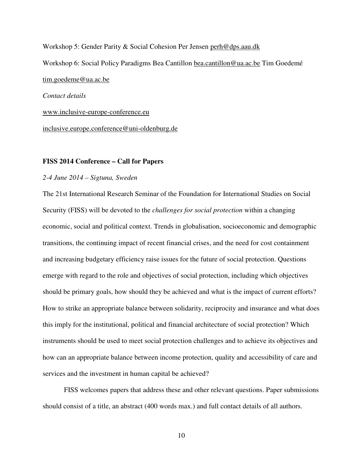Workshop 5: Gender Parity & Social Cohesion Per Jensen perh@dps.aau.dk Workshop 6: Social Policy Paradigms Bea Cantillon bea.cantillon@ua.ac.be Tim Goedemé tim.goedeme@ua.ac.be *Contact details*  www.inclusive-europe-conference.eu inclusive.europe.conference@uni-oldenburg.de

#### **FISS 2014 Conference – Call for Papers**

#### *2-4 June 2014 – Sigtuna, Sweden*

The 21st International Research Seminar of the Foundation for International Studies on Social Security (FISS) will be devoted to the *challenges for social protection* within a changing economic, social and political context. Trends in globalisation, socioeconomic and demographic transitions, the continuing impact of recent financial crises, and the need for cost containment and increasing budgetary efficiency raise issues for the future of social protection. Questions emerge with regard to the role and objectives of social protection, including which objectives should be primary goals, how should they be achieved and what is the impact of current efforts? How to strike an appropriate balance between solidarity, reciprocity and insurance and what does this imply for the institutional, political and financial architecture of social protection? Which instruments should be used to meet social protection challenges and to achieve its objectives and how can an appropriate balance between income protection, quality and accessibility of care and services and the investment in human capital be achieved?

FISS welcomes papers that address these and other relevant questions. Paper submissions should consist of a title, an abstract (400 words max.) and full contact details of all authors.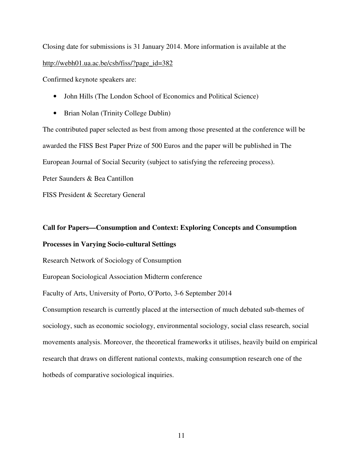Closing date for submissions is 31 January 2014. More information is available at the http://webh01.ua.ac.be/csb/fiss/?page\_id=382

Confirmed keynote speakers are:

- John Hills (The London School of Economics and Political Science)
- Brian Nolan (Trinity College Dublin)

The contributed paper selected as best from among those presented at the conference will be awarded the FISS Best Paper Prize of 500 Euros and the paper will be published in The European Journal of Social Security (subject to satisfying the refereeing process).

Peter Saunders & Bea Cantillon

FISS President & Secretary General

## **Call for Papers—Consumption and Context: Exploring Concepts and Consumption Processes in Varying Socio**‐**cultural Settings**

Research Network of Sociology of Consumption

European Sociological Association Midterm conference

Faculty of Arts, University of Porto, O'Porto, 3-6 September 2014

Consumption research is currently placed at the intersection of much debated sub-themes of sociology, such as economic sociology, environmental sociology, social class research, social movements analysis. Moreover, the theoretical frameworks it utilises, heavily build on empirical research that draws on different national contexts, making consumption research one of the hotbeds of comparative sociological inquiries.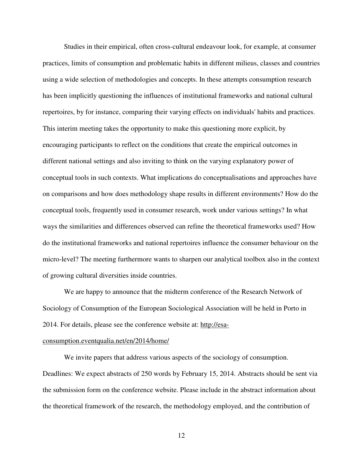Studies in their empirical, often cross-cultural endeavour look, for example, at consumer practices, limits of consumption and problematic habits in different milieus, classes and countries using a wide selection of methodologies and concepts. In these attempts consumption research has been implicitly questioning the influences of institutional frameworks and national cultural repertoires, by for instance, comparing their varying effects on individuals' habits and practices. This interim meeting takes the opportunity to make this questioning more explicit, by encouraging participants to reflect on the conditions that create the empirical outcomes in different national settings and also inviting to think on the varying explanatory power of conceptual tools in such contexts. What implications do conceptualisations and approaches have on comparisons and how does methodology shape results in different environments? How do the conceptual tools, frequently used in consumer research, work under various settings? In what ways the similarities and differences observed can refine the theoretical frameworks used? How do the institutional frameworks and national repertoires influence the consumer behaviour on the micro-level? The meeting furthermore wants to sharpen our analytical toolbox also in the context of growing cultural diversities inside countries.

We are happy to announce that the midterm conference of the Research Network of Sociology of Consumption of the European Sociological Association will be held in Porto in 2014. For details, please see the conference website at: http://esa-

#### consumption.eventqualia.net/en/2014/home/

We invite papers that address various aspects of the sociology of consumption. Deadlines: We expect abstracts of 250 words by February 15, 2014. Abstracts should be sent via the submission form on the conference website. Please include in the abstract information about the theoretical framework of the research, the methodology employed, and the contribution of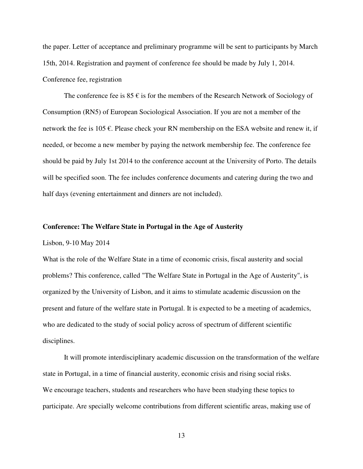the paper. Letter of acceptance and preliminary programme will be sent to participants by March 15th, 2014. Registration and payment of conference fee should be made by July 1, 2014. Conference fee, registration

The conference fee is  $85 \epsilon$  is for the members of the Research Network of Sociology of Consumption (RN5) of European Sociological Association. If you are not a member of the network the fee is 105  $\epsilon$ . Please check your RN membership on the ESA website and renew it, if needed, or become a new member by paying the network membership fee. The conference fee should be paid by July 1st 2014 to the conference account at the University of Porto. The details will be specified soon. The fee includes conference documents and catering during the two and half days (evening entertainment and dinners are not included).

#### **Conference: The Welfare State in Portugal in the Age of Austerity**

Lisbon, 9-10 May 2014

What is the role of the Welfare State in a time of economic crisis, fiscal austerity and social problems? This conference, called "The Welfare State in Portugal in the Age of Austerity", is organized by the University of Lisbon, and it aims to stimulate academic discussion on the present and future of the welfare state in Portugal. It is expected to be a meeting of academics, who are dedicated to the study of social policy across of spectrum of different scientific disciplines.

It will promote interdisciplinary academic discussion on the transformation of the welfare state in Portugal, in a time of financial austerity, economic crisis and rising social risks. We encourage teachers, students and researchers who have been studying these topics to participate. Are specially welcome contributions from different scientific areas, making use of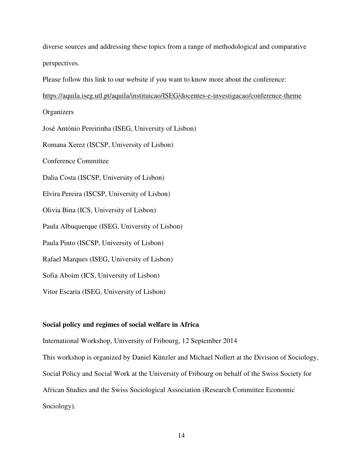diverse sources and addressing these topics from a range of methodological and comparative perspectives.

Please follow this link to our website if you want to know more about the conference:

https://aquila.iseg.utl.pt/aquila/instituicao/ISEG/docentes-e-investigacao/conference-theme

**Organizers** José António Pereirinha (ISEG, University of Lisbon) Romana Xerez (ISCSP, University of Lisbon) Conference Committee Dalia Costa (ISCSP, University of Lisbon) Elvira Pereira (ISCSP, University of Lisbon) Olivia Bina (ICS, University of Lisbon) Paula Albuquerque (ISEG, University of Lisbon) Paula Pinto (ISCSP, University of Lisbon) Rafael Marques (ISEG, University of Lisbon) Sofia Aboim (ICS, University of Lisbon) Vitor Escaria (ISEG, University of Lisbon)

#### **Social policy and regimes of social welfare in Africa**

International Workshop, University of Fribourg, 12 September 2014 This workshop is organized by Daniel Künzler and Michael Nollert at the Division of Sociology, Social Policy and Social Work at the University of Fribourg on behalf of the Swiss Society for African Studies and the Swiss Sociological Association (Research Committee Economic Sociology).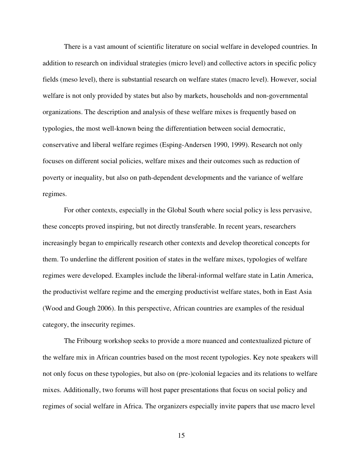There is a vast amount of scientific literature on social welfare in developed countries. In addition to research on individual strategies (micro level) and collective actors in specific policy fields (meso level), there is substantial research on welfare states (macro level). However, social welfare is not only provided by states but also by markets, households and non-governmental organizations. The description and analysis of these welfare mixes is frequently based on typologies, the most well-known being the differentiation between social democratic, conservative and liberal welfare regimes (Esping-Andersen 1990, 1999). Research not only focuses on different social policies, welfare mixes and their outcomes such as reduction of poverty or inequality, but also on path-dependent developments and the variance of welfare regimes.

For other contexts, especially in the Global South where social policy is less pervasive, these concepts proved inspiring, but not directly transferable. In recent years, researchers increasingly began to empirically research other contexts and develop theoretical concepts for them. To underline the different position of states in the welfare mixes, typologies of welfare regimes were developed. Examples include the liberal-informal welfare state in Latin America, the productivist welfare regime and the emerging productivist welfare states, both in East Asia (Wood and Gough 2006). In this perspective, African countries are examples of the residual category, the insecurity regimes.

The Fribourg workshop seeks to provide a more nuanced and contextualized picture of the welfare mix in African countries based on the most recent typologies. Key note speakers will not only focus on these typologies, but also on (pre-)colonial legacies and its relations to welfare mixes. Additionally, two forums will host paper presentations that focus on social policy and regimes of social welfare in Africa. The organizers especially invite papers that use macro level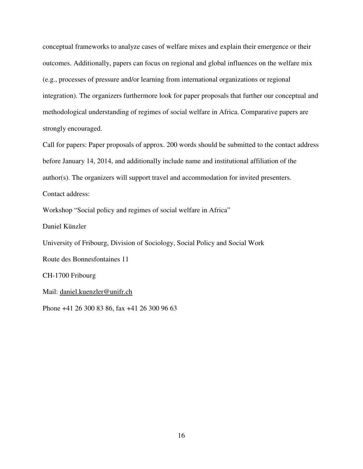conceptual frameworks to analyze cases of welfare mixes and explain their emergence or their outcomes. Additionally, papers can focus on regional and global influences on the welfare mix (e.g., processes of pressure and/or learning from international organizations or regional integration). The organizers furthermore look for paper proposals that further our conceptual and methodological understanding of regimes of social welfare in Africa. Comparative papers are strongly encouraged.

Call for papers: Paper proposals of approx. 200 words should be submitted to the contact address before January 14, 2014, and additionally include name and institutional affiliation of the author(s). The organizers will support travel and accommodation for invited presenters. Contact address:

Workshop "Social policy and regimes of social welfare in Africa"

Daniel Künzler

University of Fribourg, Division of Sociology, Social Policy and Social Work

Route des Bonnesfontaines 11

CH-1700 Fribourg

Mail: daniel.kuenzler@unifr.ch

Phone +41 26 300 83 86, fax +41 26 300 96 63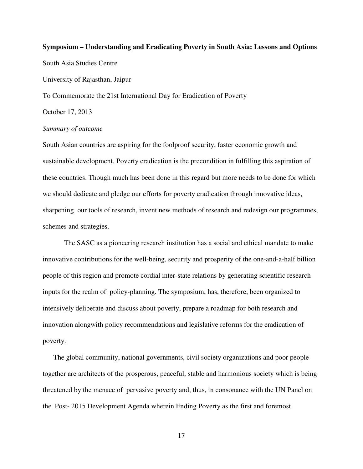# **Symposium – Understanding and Eradicating Poverty in South Asia: Lessons and Options**  South Asia Studies Centre University of Rajasthan, Jaipur

To Commemorate the 21st International Day for Eradication of Poverty

October 17, 2013

#### *Summary of outcome*

South Asian countries are aspiring for the foolproof security, faster economic growth and sustainable development. Poverty eradication is the precondition in fulfilling this aspiration of these countries. Though much has been done in this regard but more needs to be done for which we should dedicate and pledge our efforts for poverty eradication through innovative ideas, sharpening our tools of research, invent new methods of research and redesign our programmes, schemes and strategies.

The SASC as a pioneering research institution has a social and ethical mandate to make innovative contributions for the well-being, security and prosperity of the one-and-a-half billion people of this region and promote cordial inter-state relations by generating scientific research inputs for the realm of policy-planning. The symposium, has, therefore, been organized to intensively deliberate and discuss about poverty, prepare a roadmap for both research and innovation alongwith policy recommendations and legislative reforms for the eradication of poverty.

The global community, national governments, civil society organizations and poor people together are architects of the prosperous, peaceful, stable and harmonious society which is being threatened by the menace of pervasive poverty and, thus, in consonance with the UN Panel on the Post- 2015 Development Agenda wherein Ending Poverty as the first and foremost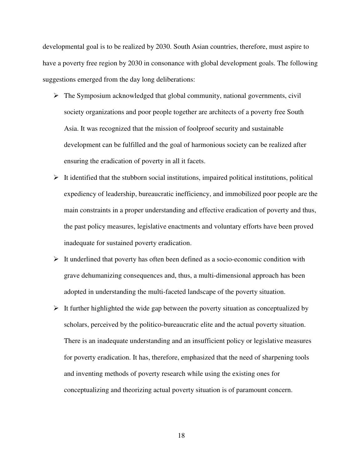developmental goal is to be realized by 2030. South Asian countries, therefore, must aspire to have a poverty free region by 2030 in consonance with global development goals. The following suggestions emerged from the day long deliberations:

- $\triangleright$  The Symposium acknowledged that global community, national governments, civil society organizations and poor people together are architects of a poverty free South Asia. It was recognized that the mission of foolproof security and sustainable development can be fulfilled and the goal of harmonious society can be realized after ensuring the eradication of poverty in all it facets.
- $\triangleright$  It identified that the stubborn social institutions, impaired political institutions, political expediency of leadership, bureaucratic inefficiency, and immobilized poor people are the main constraints in a proper understanding and effective eradication of poverty and thus, the past policy measures, legislative enactments and voluntary efforts have been proved inadequate for sustained poverty eradication.
- $\triangleright$  It underlined that poverty has often been defined as a socio-economic condition with grave dehumanizing consequences and, thus, a multi-dimensional approach has been adopted in understanding the multi-faceted landscape of the poverty situation.
- $\triangleright$  It further highlighted the wide gap between the poverty situation as conceptualized by scholars, perceived by the politico-bureaucratic elite and the actual poverty situation. There is an inadequate understanding and an insufficient policy or legislative measures for poverty eradication. It has, therefore, emphasized that the need of sharpening tools and inventing methods of poverty research while using the existing ones for conceptualizing and theorizing actual poverty situation is of paramount concern.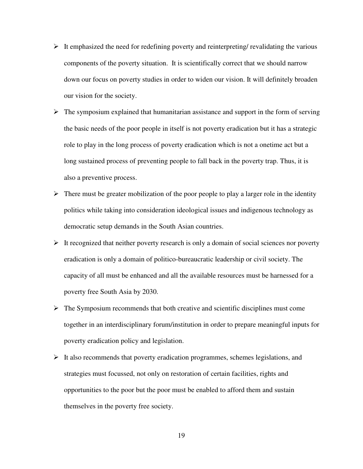- $\triangleright$  It emphasized the need for redefining poverty and reinterpreting/ revalidating the various components of the poverty situation. It is scientifically correct that we should narrow down our focus on poverty studies in order to widen our vision. It will definitely broaden our vision for the society.
- $\triangleright$  The symposium explained that humanitarian assistance and support in the form of serving the basic needs of the poor people in itself is not poverty eradication but it has a strategic role to play in the long process of poverty eradication which is not a onetime act but a long sustained process of preventing people to fall back in the poverty trap. Thus, it is also a preventive process.
- $\triangleright$  There must be greater mobilization of the poor people to play a larger role in the identity politics while taking into consideration ideological issues and indigenous technology as democratic setup demands in the South Asian countries.
- $\triangleright$  It recognized that neither poverty research is only a domain of social sciences nor poverty eradication is only a domain of politico-bureaucratic leadership or civil society. The capacity of all must be enhanced and all the available resources must be harnessed for a poverty free South Asia by 2030.
- $\triangleright$  The Symposium recommends that both creative and scientific disciplines must come together in an interdisciplinary forum/institution in order to prepare meaningful inputs for poverty eradication policy and legislation.
- $\triangleright$  It also recommends that poverty eradication programmes, schemes legislations, and strategies must focussed, not only on restoration of certain facilities, rights and opportunities to the poor but the poor must be enabled to afford them and sustain themselves in the poverty free society.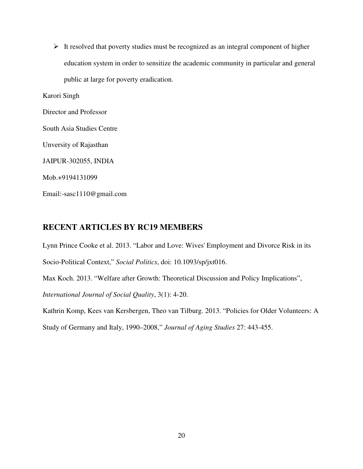$\triangleright$  It resolved that poverty studies must be recognized as an integral component of higher education system in order to sensitize the academic community in particular and general public at large for poverty eradication.

Karori Singh

Director and Professor

South Asia Studies Centre

Unversity of Rajasthan

JAIPUR-302055, INDIA

Mob.+9194131099

Email:-sasc1110@gmail.com

#### **RECENT ARTICLES BY RC19 MEMBERS**

Lynn Prince Cooke et al. 2013. "Labor and Love: Wives' Employment and Divorce Risk in its Socio-Political Context," *Social Politics*, doi: 10.1093/sp/jxt016.

Max Koch. 2013. "Welfare after Growth: Theoretical Discussion and Policy Implications", *International Journal of Social Quality*, 3(1): 4-20.

Kathrin Komp, Kees van Kersbergen, Theo van Tilburg. 2013. "Policies for Older Volunteers: A Study of Germany and Italy, 1990–2008," *Journal of Aging Studies* 27: 443-455.